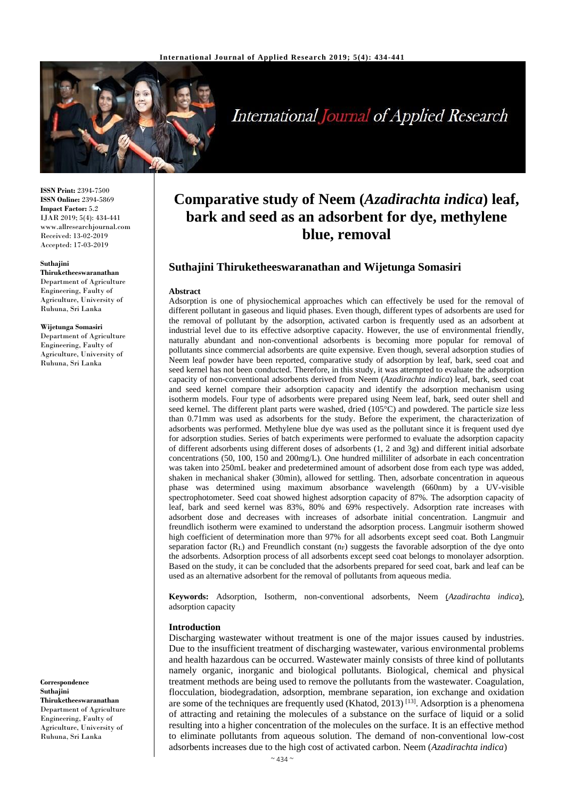

International Journal of Applied Research

**ISSN Print:** 2394-7500 **ISSN Online:** 2394-5869 **Impact Factor:** 5.2 IJAR 2019; 5(4): 434-441 www.allresearchjournal.com Received: 13-02-2019 Accepted: 17-03-2019

#### **Suthajini**

**Thiruketheeswaranathan** Department of Agriculture Engineering, Faulty of Agriculture, University of Ruhuna, Sri Lanka

#### **Wijetunga Somasiri**

Department of Agriculture Engineering, Faulty of Agriculture, University of Ruhuna, Sri Lanka

**Correspondence Suthajini Thiruketheeswaranathan** Department of Agriculture Engineering, Faulty of Agriculture, University of Ruhuna, Sri Lanka

# **Comparative study of Neem (***Azadirachta indica***) leaf, bark and seed as an adsorbent for dye, methylene blue, removal**

# **Suthajini Thiruketheeswaranathan and Wijetunga Somasiri**

#### **Abstract**

Adsorption is one of physiochemical approaches which can effectively be used for the removal of different pollutant in gaseous and liquid phases. Even though, different types of adsorbents are used for the removal of pollutant by the adsorption, activated carbon is frequently used as an adsorbent at industrial level due to its effective adsorptive capacity. However, the use of environmental friendly, naturally abundant and non-conventional adsorbents is becoming more popular for removal of pollutants since commercial adsorbents are quite expensive. Even though, several adsorption studies of Neem leaf powder have been reported, comparative study of adsorption by leaf, bark, seed coat and seed kernel has not been conducted. Therefore, in this study, it was attempted to evaluate the adsorption capacity of non-conventional adsorbents derived from Neem (*Azadirachta indica*) leaf, bark, seed coat and seed kernel compare their adsorption capacity and identify the adsorption mechanism using isotherm models. Four type of adsorbents were prepared using Neem leaf, bark, seed outer shell and seed kernel. The different plant parts were washed, dried (105°C) and powdered. The particle size less than 0.71mm was used as adsorbents for the study. Before the experiment, the characterization of adsorbents was performed. Methylene blue dye was used as the pollutant since it is frequent used dye for adsorption studies. Series of batch experiments were performed to evaluate the adsorption capacity of different adsorbents using different doses of adsorbents (1, 2 and 3g) and different initial adsorbate concentrations (50, 100, 150 and 200mg/L). One hundred milliliter of adsorbate in each concentration was taken into 250mL beaker and predetermined amount of adsorbent dose from each type was added, shaken in mechanical shaker (30min), allowed for settling. Then, adsorbate concentration in aqueous phase was determined using maximum absorbance wavelength (660nm) by a UV-visible spectrophotometer. Seed coat showed highest adsorption capacity of 87%. The adsorption capacity of leaf, bark and seed kernel was 83%, 80% and 69% respectively. Adsorption rate increases with adsorbent dose and decreases with increases of adsorbate initial concentration. Langmuir and freundlich isotherm were examined to understand the adsorption process. Langmuir isotherm showed high coefficient of determination more than 97% for all adsorbents except seed coat. Both Langmuir separation factor  $(R_L)$  and Freundlich constant  $(n_F)$  suggests the favorable adsorption of the dye onto the adsorbents. Adsorption process of all adsorbents except seed coat belongs to monolayer adsorption. Based on the study, it can be concluded that the adsorbents prepared for seed coat, bark and leaf can be used as an alternative adsorbent for the removal of pollutants from aqueous media.

**Keywords:** Adsorption, Isotherm, non-conventional adsorbents, Neem (*Azadirachta indica*), adsorption capacity

#### **Introduction**

Discharging wastewater without treatment is one of the major issues caused by industries. Due to the insufficient treatment of discharging wastewater, various environmental problems and health hazardous can be occurred. Wastewater mainly consists of three kind of pollutants namely organic, inorganic and biological pollutants. Biological, chemical and physical treatment methods are being used to remove the pollutants from the wastewater. Coagulation, flocculation, biodegradation, adsorption, membrane separation, ion exchange and oxidation are some of the techniques are frequently used (Khatod, 2013)<sup>[13]</sup>. Adsorption is a phenomena of attracting and retaining the molecules of a substance on the surface of liquid or a solid resulting into a higher concentration of the molecules on the surface. It is an effective method to eliminate pollutants from aqueous solution. The demand of non-conventional low-cost adsorbents increases due to the high cost of activated carbon. Neem (*Azadirachta indica*)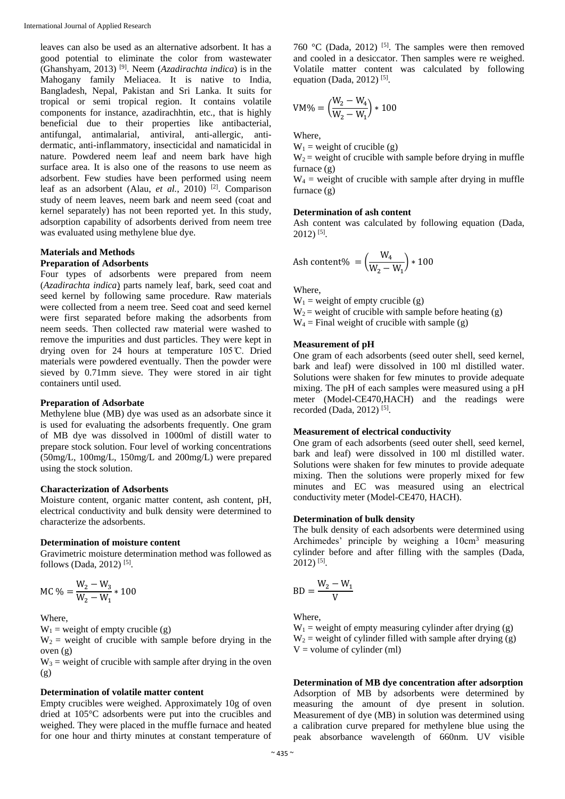leaves can also be used as an alternative adsorbent. It has a good potential to eliminate the color from wastewater (Ghanshyam, 2013) [9] . Neem (*Azadirachta indica*) is in the Mahogany family Meliacea. It is native to India, Bangladesh, Nepal, Pakistan and Sri Lanka. It suits for tropical or semi tropical region. It contains volatile components for instance, azadirachhtin, etc., that is highly beneficial due to their properties like antibacterial, antifungal, antimalarial, antiviral, anti-allergic, antidermatic, anti-inflammatory, insecticidal and namaticidal in nature. Powdered neem leaf and neem bark have high surface area. It is also one of the reasons to use neem as adsorbent. Few studies have been performed using neem leaf as an adsorbent (Alau, et al., 2010)<sup>[2]</sup>. Comparison study of neem leaves, neem bark and neem seed (coat and kernel separately) has not been reported yet. In this study, adsorption capability of adsorbents derived from neem tree was evaluated using methylene blue dye.

## **Materials and Methods**

# **Preparation of Adsorbents**

Four types of adsorbents were prepared from neem (*Azadirachta indica*) parts namely leaf, bark, seed coat and seed kernel by following same procedure. Raw materials were collected from a neem tree. Seed coat and seed kernel were first separated before making the adsorbents from neem seeds. Then collected raw material were washed to remove the impurities and dust particles. They were kept in drying oven for 24 hours at temperature 105 ̊C. Dried materials were powdered eventually. Then the powder were sieved by 0.71mm sieve. They were stored in air tight containers until used.

## **Preparation of Adsorbate**

Methylene blue (MB) dye was used as an adsorbate since it is used for evaluating the adsorbents frequently. One gram of MB dye was dissolved in 1000ml of distill water to prepare stock solution. Four level of working concentrations (50mg/L, 100mg/L, 150mg/L and 200mg/L) were prepared using the stock solution.

### **Characterization of Adsorbents**

Moisture content, organic matter content, ash content, pH, electrical conductivity and bulk density were determined to characterize the adsorbents.

#### **Determination of moisture content**

Gravimetric moisture determination method was followed as follows (Dada, 2012) [5] .

$$
MC\% = \frac{W_2 - W_3}{W_2 - W_1} * 100
$$

Where,

 $W_1$  = weight of empty crucible (g)

 $W_2$  = weight of crucible with sample before drying in the oven (g)

 $W_3$  = weight of crucible with sample after drying in the oven (g)

# **Determination of volatile matter content**

Empty crucibles were weighed. Approximately 10g of oven dried at 105°C adsorbents were put into the crucibles and weighed. They were placed in the muffle furnace and heated for one hour and thirty minutes at constant temperature of

760 °C (Dada, 2012)<sup>[5]</sup>. The samples were then removed and cooled in a desiccator. Then samples were re weighed. Volatile matter content was calculated by following equation (Dada, 2012)<sup>[5]</sup>.

$$
VM\% = \left(\frac{W_2 - W_4}{W_2 - W_1}\right) * 100
$$

Where,

 $W_1$  = weight of crucible (g)

 $W_2$  = weight of crucible with sample before drying in muffle furnace (g)

 $W_4$  = weight of crucible with sample after drying in muffle furnace (g)

#### **Determination of ash content**

Ash content was calculated by following equation (Dada, 2012) [5] .

$$
Ash content\% = \left(\frac{W_4}{W_2 - W_1}\right) * 100
$$

Where,

 $W_1$  = weight of empty crucible (g)  $W_2$  = weight of crucible with sample before heating (g)  $W_4$  = Final weight of crucible with sample (g)

#### **Measurement of pH**

One gram of each adsorbents (seed outer shell, seed kernel, bark and leaf) were dissolved in 100 ml distilled water. Solutions were shaken for few minutes to provide adequate mixing. The pH of each samples were measured using a pH meter (Model-CE470,HACH) and the readings were recorded (Dada, 2012)<sup>[5]</sup>.

# **Measurement of electrical conductivity**

One gram of each adsorbents (seed outer shell, seed kernel, bark and leaf) were dissolved in 100 ml distilled water. Solutions were shaken for few minutes to provide adequate mixing. Then the solutions were properly mixed for few minutes and EC was measured using an electrical conductivity meter (Model-CE470, HACH).

## **Determination of bulk density**

The bulk density of each adsorbents were determined using Archimedes' principle by weighing a 10cm<sup>3</sup> measuring cylinder before and after filling with the samples (Dada, 2012) [5] .

$$
BD = \frac{W_2 - W_1}{V}
$$

Where,

 $W_1$  = weight of empty measuring cylinder after drying (g)  $W_2$  = weight of cylinder filled with sample after drying (g)  $V =$  volume of cylinder (ml)

**Determination of MB dye concentration after adsorption** Adsorption of MB by adsorbents were determined by measuring the amount of dye present in solution. Measurement of dye (MB) in solution was determined using a calibration curve prepared for methylene blue using the peak absorbance wavelength of 660nm. UV visible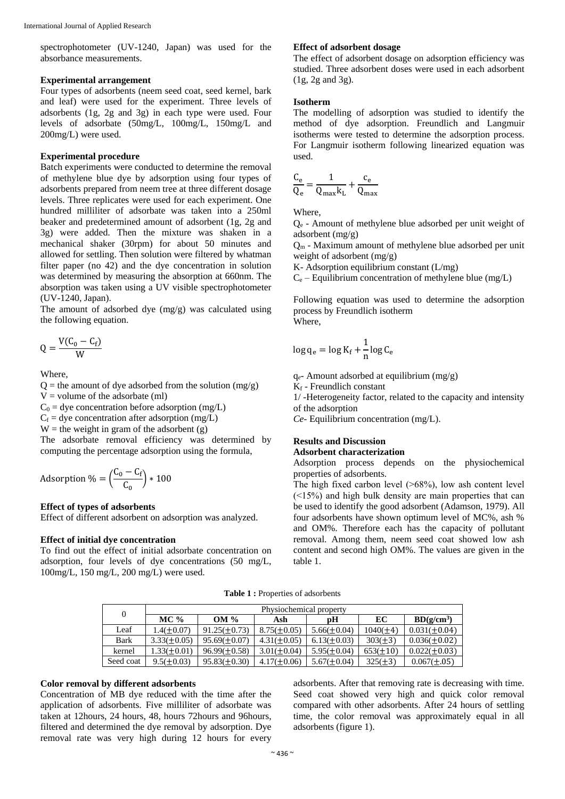spectrophotometer (UV-1240, Japan) was used for the absorbance measurements.

# **Experimental arrangement**

Four types of adsorbents (neem seed coat, seed kernel, bark and leaf) were used for the experiment. Three levels of adsorbents (1g, 2g and 3g) in each type were used. Four levels of adsorbate (50mg/L, 100mg/L, 150mg/L and 200mg/L) were used.

## **Experimental procedure**

Batch experiments were conducted to determine the removal of methylene blue dye by adsorption using four types of adsorbents prepared from neem tree at three different dosage levels. Three replicates were used for each experiment. One hundred milliliter of adsorbate was taken into a 250ml beaker and predetermined amount of adsorbent (1g, 2g and 3g) were added. Then the mixture was shaken in a mechanical shaker (30rpm) for about 50 minutes and allowed for settling. Then solution were filtered by whatman filter paper (no 42) and the dye concentration in solution was determined by measuring the absorption at 660nm. The absorption was taken using a UV visible spectrophotometer (UV-1240, Japan).

The amount of adsorbed dye (mg/g) was calculated using the following equation.

$$
Q = \frac{V(C_0 - C_f)}{W}
$$

Where,

 $Q$  = the amount of dye adsorbed from the solution (mg/g)  $V =$  volume of the adsorbate (ml)

 $C_0$  = dye concentration before adsorption (mg/L)

 $C_f$  = dye concentration after adsorption (mg/L)

 $W =$  the weight in gram of the adsorbent (g)

The adsorbate removal efficiency was determined by computing the percentage adsorption using the formula,

$$
Adsorption\% = \left(\frac{C_0 - C_f}{C_0}\right) * 100
$$

# **Effect of types of adsorbents**

Effect of different adsorbent on adsorption was analyzed.

## **Effect of initial dye concentration**

To find out the effect of initial adsorbate concentration on adsorption, four levels of dye concentrations (50 mg/L, 100mg/L, 150 mg/L, 200 mg/L) were used.

# **Effect of adsorbent dosage**

The effect of adsorbent dosage on adsorption efficiency was studied. Three adsorbent doses were used in each adsorbent (1g, 2g and 3g).

## **Isotherm**

The modelling of adsorption was studied to identify the method of dye adsorption. Freundlich and Langmuir isotherms were tested to determine the adsorption process. For Langmuir isotherm following linearized equation was used.

$$
\frac{C_e}{Q_e} = \frac{1}{Q_{max}k_L} + \frac{c_e}{Q_{max}}
$$

Where,

Q<sup>e</sup> - Amount of methylene blue adsorbed per unit weight of adsorbent (mg/g)

 $Q_m$  - Maximum amount of methylene blue adsorbed per unit weight of adsorbent (mg/g)

K- Adsorption equilibrium constant (L/mg)

 $C_e$  – Equilibrium concentration of methylene blue (mg/L)

Following equation was used to determine the adsorption process by Freundlich isotherm Where,

$$
\log q_e = \log K_f + \frac{1}{n} \log C_e
$$

q*e*- Amount adsorbed at equilibrium (mg/g)

 $K_f$  - Freundlich constant

1/ -Heterogeneity factor, related to the capacity and intensity of the adsorption

*Ce*- Equilibrium concentration (mg/L).

# **Results and Discussion Adsorbent characterization**

Adsorption process depends on the physiochemical properties of adsorbents.

The high fixed carbon level  $($  >68%), low ash content level  $(\leq 15\%)$  and high bulk density are main properties that can be used to identify the good adsorbent (Adamson, 1979). All four adsorbents have shown optimum level of MC%, ash % and OM%. Therefore each has the capacity of pollutant removal. Among them, neem seed coat showed low ash content and second high OM%. The values are given in the table 1.

**Table 1 :** Properties of adsorbents

| $\overline{0}$ | Physiochemical property |                   |                  |                  |               |                   |  |  |
|----------------|-------------------------|-------------------|------------------|------------------|---------------|-------------------|--|--|
|                | MC $%$                  | $OM \%$           | Ash              | рH               | EC            | $BD(g/cm^3)$      |  |  |
| Leaf           | $1.4(\pm 0.07)$         | $91.25(\pm 0.73)$ | $8.75(\pm 0.05)$ | $5.66(\pm 0.04)$ | $1040(\pm 4)$ | $0.031(\pm 0.04)$ |  |  |
| Bark           | $3.33(\pm 0.05)$        | $95.69(\pm 0.07)$ | $4.31(\pm 0.05)$ | $6.13(\pm 0.03)$ | $303(\pm 3)$  | $0.036(\pm 0.02)$ |  |  |
| kernel         | $1.33(\pm 0.01)$        | $96.99(\pm 0.58)$ | $3.01(\pm 0.04)$ | $5.95(\pm 0.04)$ | $653(\pm 10)$ | $0.022(\pm 0.03)$ |  |  |
| Seed coat      | $9.5(\pm 0.03)$         | $95.83(\pm 0.30)$ | $4.17(\pm 0.06)$ | $5.67(\pm 0.04)$ | $325(\pm 3)$  | $0.067(\pm.05)$   |  |  |

### **Color removal by different adsorbents**

Concentration of MB dye reduced with the time after the application of adsorbents. Five milliliter of adsorbate was taken at 12hours, 24 hours, 48, hours 72hours and 96hours, filtered and determined the dye removal by adsorption. Dye removal rate was very high during 12 hours for every

adsorbents. After that removing rate is decreasing with time. Seed coat showed very high and quick color removal compared with other adsorbents. After 24 hours of settling time, the color removal was approximately equal in all adsorbents (figure 1).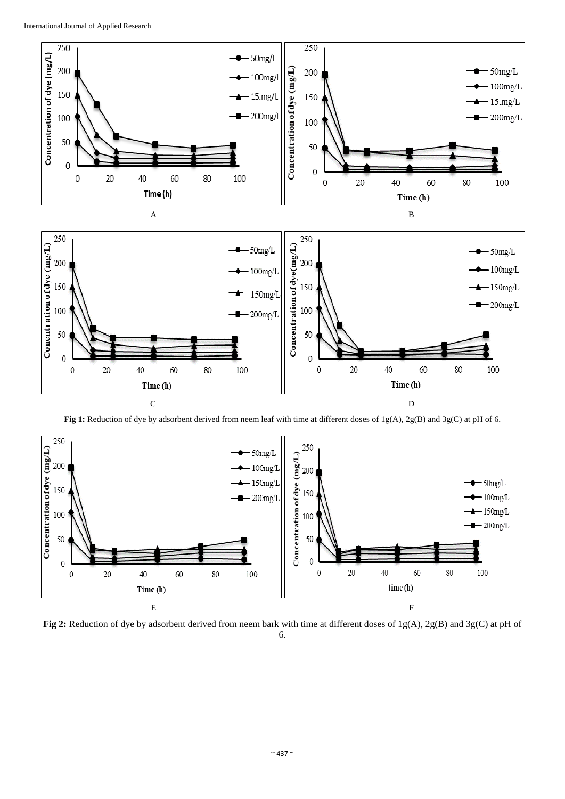

C D

**Fig 1:** Reduction of dye by adsorbent derived from neem leaf with time at different doses of 1g(A), 2g(B) and 3g(C) at pH of 6.



**Fig 2:** Reduction of dye by adsorbent derived from neem bark with time at different doses of 1g(A), 2g(B) and 3g(C) at pH of 6.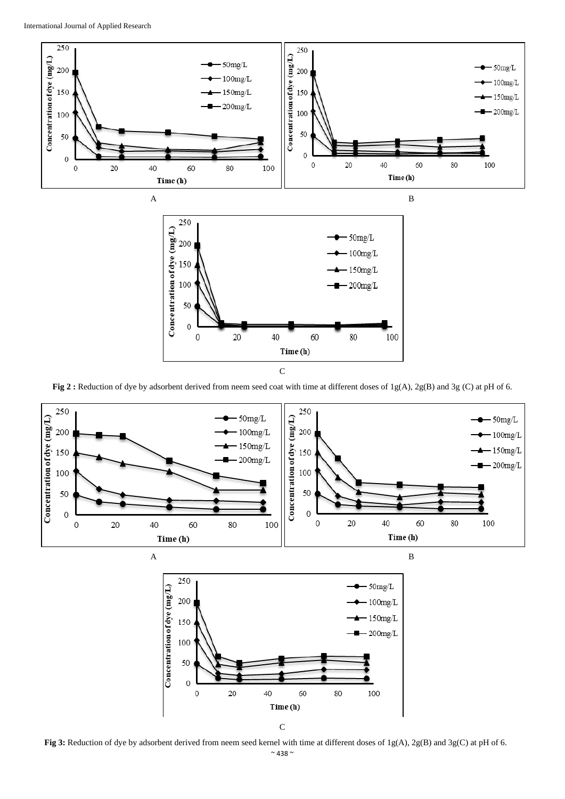

C

**Fig 2 :** Reduction of dye by adsorbent derived from neem seed coat with time at different doses of 1g(A), 2g(B) and 3g (C) at pH of 6.



**Fig 3:** Reduction of dye by adsorbent derived from neem seed kernel with time at different doses of 1g(A), 2g(B) and 3g(C) at pH of 6.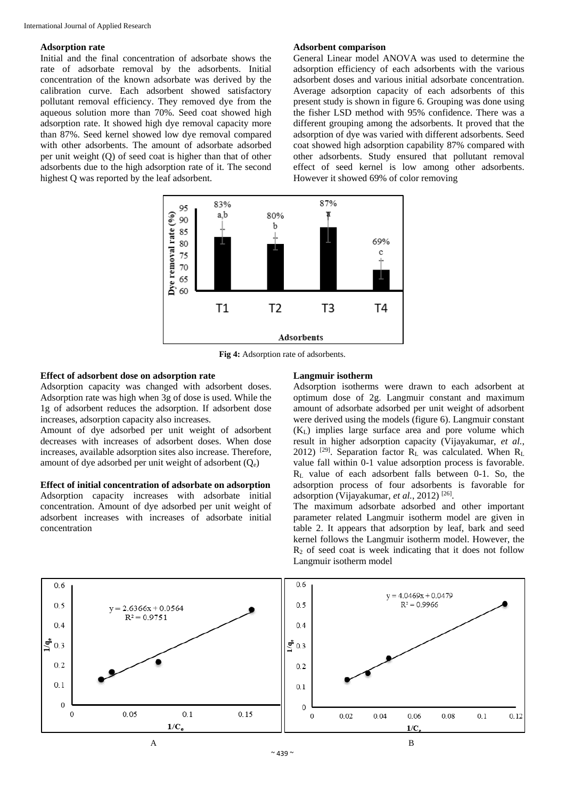## **Adsorption rate**

Initial and the final concentration of adsorbate shows the rate of adsorbate removal by the adsorbents. Initial concentration of the known adsorbate was derived by the calibration curve. Each adsorbent showed satisfactory pollutant removal efficiency. They removed dye from the aqueous solution more than 70%. Seed coat showed high adsorption rate. It showed high dye removal capacity more than 87%. Seed kernel showed low dye removal compared with other adsorbents. The amount of adsorbate adsorbed per unit weight (Q) of seed coat is higher than that of other adsorbents due to the high adsorption rate of it. The second highest Q was reported by the leaf adsorbent.

#### **Adsorbent comparison**

General Linear model ANOVA was used to determine the adsorption efficiency of each adsorbents with the various adsorbent doses and various initial adsorbate concentration. Average adsorption capacity of each adsorbents of this present study is shown in figure 6. Grouping was done using the fisher LSD method with 95% confidence. There was a different grouping among the adsorbents. It proved that the adsorption of dye was varied with different adsorbents. Seed coat showed high adsorption capability 87% compared with other adsorbents. Study ensured that pollutant removal effect of seed kernel is low among other adsorbents. However it showed 69% of color removing



**Fig 4:** Adsorption rate of adsorbents.

# **Effect of adsorbent dose on adsorption rate**

Adsorption capacity was changed with adsorbent doses. Adsorption rate was high when 3g of dose is used. While the 1g of adsorbent reduces the adsorption. If adsorbent dose increases, adsorption capacity also increases.

Amount of dye adsorbed per unit weight of adsorbent decreases with increases of adsorbent doses. When dose increases, available adsorption sites also increase. Therefore, amount of dye adsorbed per unit weight of adsorbent  $(O_e)$ 

# **Effect of initial concentration of adsorbate on adsorption**

Adsorption capacity increases with adsorbate initial concentration. Amount of dye adsorbed per unit weight of adsorbent increases with increases of adsorbate initial concentration

## **Langmuir isotherm**

Adsorption isotherms were drawn to each adsorbent at optimum dose of 2g. Langmuir constant and maximum amount of adsorbate adsorbed per unit weight of adsorbent were derived using the models (figure 6). Langmuir constant (KL) implies large surface area and pore volume which result in higher adsorption capacity (Vijayakumar, *et al.*, 2012) <sup>[29]</sup>. Separation factor  $R_L$  was calculated. When  $R_L$ value fall within 0-1 value adsorption process is favorable.  $R<sub>L</sub>$  value of each adsorbent falls between 0-1. So, the adsorption process of four adsorbents is favorable for adsorption (Vijayakumar, et al., 2012)<sup>[26]</sup>.

The maximum adsorbate adsorbed and other important parameter related Langmuir isotherm model are given in table 2. It appears that adsorption by leaf, bark and seed kernel follows the Langmuir isotherm model. However, the  $R<sub>2</sub>$  of seed coat is week indicating that it does not follow Langmuir isotherm model

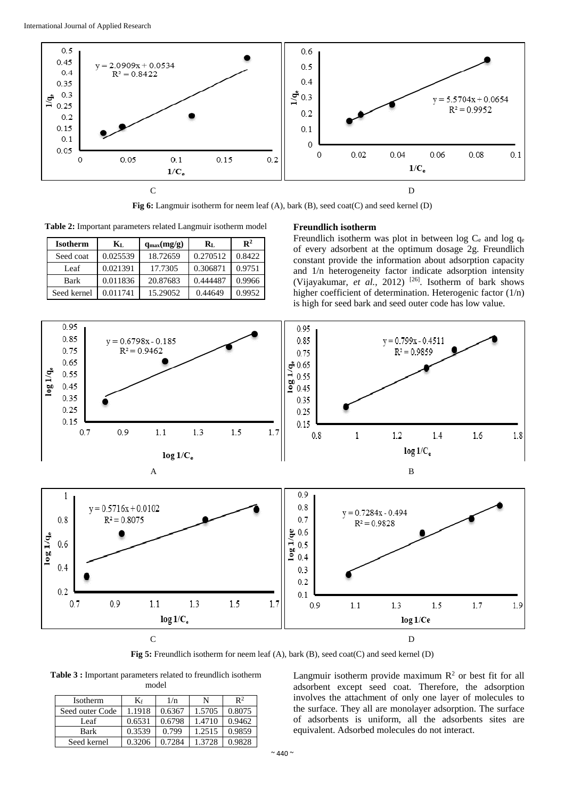

**Fig 6:** Langmuir isotherm for neem leaf (A), bark (B), seed coat(C) and seed kernel (D)

**Table 2:** Important parameters related Langmuir isotherm model

| <b>Isotherm</b> | $\mathbf{K}_{\mathrm{L}}$ | $q_{max}(mg/g)$ | $\mathbf{R}_{\mathrm{L}}$ | $\mathbf{R}^2$ |
|-----------------|---------------------------|-----------------|---------------------------|----------------|
| Seed coat       | 0.025539                  | 18.72659        | 0.270512                  | 0.8422         |
| Leaf            | 0.021391                  | 17.7305         | 0.306871                  | 0.9751         |
| <b>Bark</b>     | 0.011836                  | 20.87683        | 0.444487                  | 0.9966         |
| Seed kernel     | 0.011741                  | 15.29052        | 0.44649                   | 0.9952         |

### **Freundlich isotherm**

Freundlich isotherm was plot in between log  $C_e$  and log  $q_e$ of every adsorbent at the optimum dosage 2g. Freundlich constant provide the information about adsorption capacity and 1/n heterogeneity factor indicate adsorption intensity (Vijayakumar, et al., 2012)<sup>[26]</sup>. Isotherm of bark shows higher coefficient of determination. Heterogenic factor (1/n) is high for seed bark and seed outer code has low value.



**Fig 5:** Freundlich isotherm for neem leaf (A), bark (B), seed coat(C) and seed kernel (D)

**Table 3 :** Important parameters related to freundlich isotherm model

| <b>Isotherm</b> | $K_f$  | 1/n    | N      | $\mathbb{R}^2$ |
|-----------------|--------|--------|--------|----------------|
| Seed outer Code | 1.1918 | 0.6367 | 1.5705 | 0.8075         |
| Leaf            | 0.6531 | 0.6798 | 1.4710 | 0.9462         |
| <b>Bark</b>     | 0.3539 | 0.799  | 1.2515 | 0.9859         |
| Seed kernel     | 0.3206 | 0.7284 | 1.3728 | 0.9828         |

Langmuir isotherm provide maximum  $\mathbb{R}^2$  or best fit for all adsorbent except seed coat. Therefore, the adsorption involves the attachment of only one layer of molecules to the surface. They all are monolayer adsorption. The surface of adsorbents is uniform, all the adsorbents sites are equivalent. Adsorbed molecules do not interact.